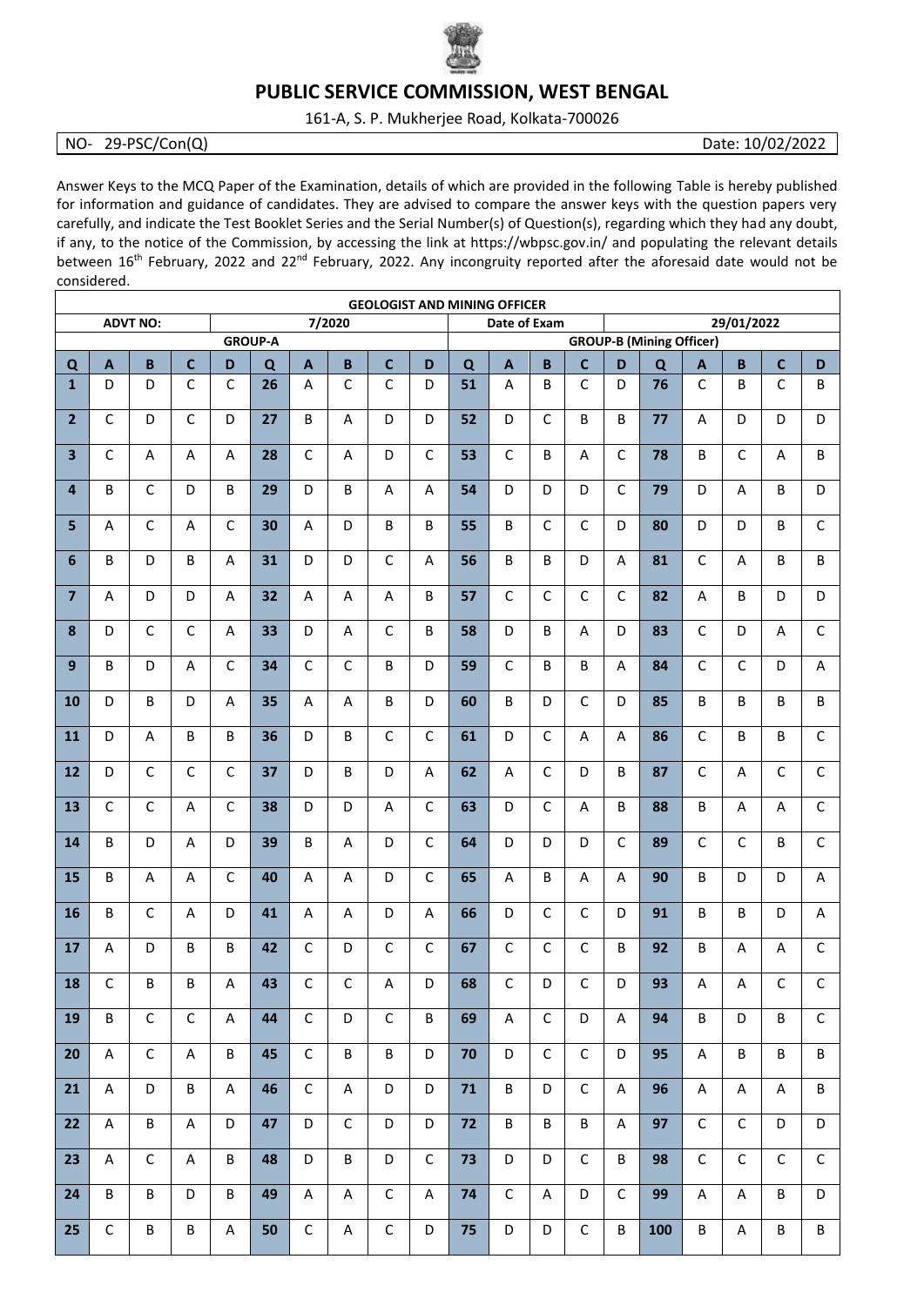

## **PUBLIC SERVICE COMMISSION, WEST BENGAL**

161-A, S. P. Mukherjee Road, Kolkata-700026

## NO- 29-PSC/Con(Q) Date: 10/02/2022

Answer Keys to the MCQ Paper of the Examination, details of which are provided in the following Table is hereby published for information and guidance of candidates. They are advised to compare the answer keys with the question papers very carefully, and indicate the Test Booklet Series and the Serial Number(s) of Question(s), regarding which they had any doubt, if any, to the notice of the Commission, by accessing the link at https://wbpsc.gov.in/ and populating the relevant details between 16<sup>th</sup> February, 2022 and 22<sup>nd</sup> February, 2022. Any incongruity reported after the aforesaid date would not be considered.

| <b>GEOLOGIST AND MINING OFFICER</b><br><b>ADVT NO:</b><br>Date of Exam |              |              |                   |                          |         |                   |              |                  |              |         |              |              |              |              |                                               |              |                        |              |              |  |
|------------------------------------------------------------------------|--------------|--------------|-------------------|--------------------------|---------|-------------------|--------------|------------------|--------------|---------|--------------|--------------|--------------|--------------|-----------------------------------------------|--------------|------------------------|--------------|--------------|--|
|                                                                        |              |              |                   | 7/2020<br><b>GROUP-A</b> |         |                   |              |                  |              |         |              |              |              |              | 29/01/2022<br><b>GROUP-B (Mining Officer)</b> |              |                        |              |              |  |
|                                                                        |              |              |                   |                          |         |                   |              |                  | D            | B       |              |              | C            | D            |                                               |              | B<br>$\mathbf{C}$<br>D |              |              |  |
| $\mathbf Q$<br>$\mathbf{1}$                                            | A<br>D       | B<br>D       | C<br>$\mathsf{C}$ | D<br>$\mathsf{C}$        | Q<br>26 | $\mathbf{A}$<br>A | B<br>C       | $\mathbf c$<br>C | D            | Q<br>51 | A<br>A       | B            | C            | D            | Q<br>76                                       | A<br>C       | B                      | C            | B            |  |
| $\overline{2}$                                                         | C            | D            | C                 | D                        | 27      | B                 | A            | D                | D            | 52      | D            | C            | B            | В            | 77                                            | A            | D                      | D            | D            |  |
| $\overline{\mathbf{3}}$                                                | $\mathsf C$  | Α            | A                 | A                        | 28      | $\mathsf{C}$      | А            | D                | $\mathsf{C}$ | 53      | $\mathsf{C}$ | B            | A            | C            | 78                                            | B            | $\mathsf{C}$           | A            | B            |  |
| $\overline{4}$                                                         | B            | C            | D                 | B                        | 29      | D                 | B            | A                | A            | 54      | D            | D            | D            | $\mathsf{C}$ | 79                                            | D            | A                      | B            | D            |  |
| 5                                                                      | A            | C            | А                 | $\mathsf{C}$             | 30      | A                 | D            | B                | B            | 55      | B            | C            | C            | D            | 80                                            | D            | D                      | B            | $\mathsf{C}$ |  |
| 6                                                                      | B            | D            | B                 | A                        | 31      | D                 | D            | C                | A            | 56      | B            | B            | D            | A            | 81                                            | $\mathsf{C}$ | A                      | B            | B            |  |
| $\overline{7}$                                                         | A            | D            | D                 | A                        | 32      | A                 | Α            | A                | B            | 57      | $\mathsf{C}$ | $\mathsf{C}$ | $\mathsf{C}$ | С            | 82                                            | A            | B                      | D            | D            |  |
| 8                                                                      | D            | C            | $\mathsf{C}$      | A                        | 33      | D                 | Α            | $\mathsf{C}$     | B            | 58      | D            | B            | A            | D            | 83                                            | $\mathsf{C}$ | D                      | A            | C            |  |
| 9                                                                      | B            | D            | A                 | C                        | 34      | C                 | C            | B                | D            | 59      | C            | B            | B            | A            | 84                                            | C            | C                      | D            | A            |  |
| 10                                                                     | D            | В            | D                 | A                        | 35      | A                 | A            | B                | D            | 60      | B            | D            | C            | D            | 85                                            | B            | B                      | B            | B            |  |
| 11                                                                     | D            | A            | B                 | B                        | 36      | D                 | B            | C                | $\mathsf{C}$ | 61      | D            | C            | A            | Α            | 86                                            | $\mathsf{C}$ | B                      | B            | C            |  |
|                                                                        |              |              |                   |                          |         |                   |              |                  |              |         |              |              |              |              |                                               |              |                        |              |              |  |
| 12                                                                     | D            | C            | C                 | С                        | 37      | D                 | B            | D                | A            | 62      | A            | C            | D            | B            | 87                                            | C            | A                      | C            | C            |  |
| 13                                                                     | C            | C            | Α                 | C                        | 38      | D                 | D            | A                | C            | 63      | D            | C            | A            | B            | 88                                            | B            | A                      | Α            | C            |  |
| 14                                                                     | B            | D            | A                 | D                        | 39      | B                 | A            | D                | $\mathsf{C}$ | 64      | D            | D            | D            | C            | 89                                            | $\mathsf{C}$ | C                      | B            | C            |  |
| 15                                                                     | B            | A            | A                 | $\mathsf{C}$             | 40      | A                 | A            | D                | $\mathsf{C}$ | 65      | A            | B            | A            | A            | 90                                            | B            | D                      | D            | A            |  |
| 16                                                                     | B            | C            | A                 | D                        | 41      | Α                 | A            | D                | A            | 66      | D            | C            | C            | D            | 91                                            | B            | B                      | D            | Α            |  |
| 17                                                                     | A            | D            | B                 | B                        | 42      | $\mathsf C$       | D            | C                | $\mathsf{C}$ | 67      | $\mathsf{C}$ | $\mathsf C$  | C            | B            | 92                                            | B            | Α                      | A            | $\mathsf{C}$ |  |
| 18                                                                     | $\mathsf{C}$ | B            | B                 | A                        | 43      | $\mathsf{C}$      | $\mathsf C$  | A                | D            | 68      | $\mathsf{C}$ | D            | $\mathsf{C}$ | D            | 93                                            | Α            | A                      | $\mathsf{C}$ | $\mathsf{C}$ |  |
| 19                                                                     | B            | $\mathsf C$  | $\mathsf C$       | A                        | 44      | $\mathsf C$       | D            | $\mathsf{C}$     | B            | 69      | A            | $\mathsf C$  | D            | A            | 94                                            | B            | D                      | B            | $\mathsf C$  |  |
| 20                                                                     | A            | $\mathsf{C}$ | A                 | B                        | 45      | $\mathsf C$       | B            | B                | D            | 70      | D            | $\mathsf{C}$ | $\mathsf{C}$ | D            | 95                                            | A            | B                      | B            | B            |  |
| 21                                                                     | A            | D            | В                 | A                        | 46      | $\mathsf C$       | A            | D                | D            | 71      | B            | D            | $\mathsf{C}$ | A            | 96                                            | A            | A                      | A            | B            |  |
| 22                                                                     | A            | B            | Α                 | D                        | 47      | D                 | $\mathsf{C}$ | D                | D            | 72      | B            | B            | B            | A            | 97                                            | $\mathsf{C}$ | $\mathsf{C}$           | D            | D            |  |
| 23                                                                     | A            | $\mathsf{C}$ | A                 | B                        | 48      | D                 | B            | D                | $\mathsf{C}$ | 73      | D            | D            | C            | B            | 98                                            | $\mathsf{C}$ | $\mathsf{C}$           | $\mathsf{C}$ | $\mathsf{C}$ |  |
| 24                                                                     | B            | B            | D                 | B                        | 49      | A                 | A            | $\mathsf{C}$     | A            | 74      | $\mathsf{C}$ | A            | D            | $\mathsf C$  | 99                                            | A            | $\mathsf{A}$           | B            | D            |  |
| 25 <sub>2</sub>                                                        | $\mathsf C$  | B            | B                 | A                        | 50      | $\mathsf C$       | A            | $\mathsf{C}$     | D            | 75      | D            | D            | $\mathsf C$  | B            | 100                                           | B            | A                      | B            | B            |  |